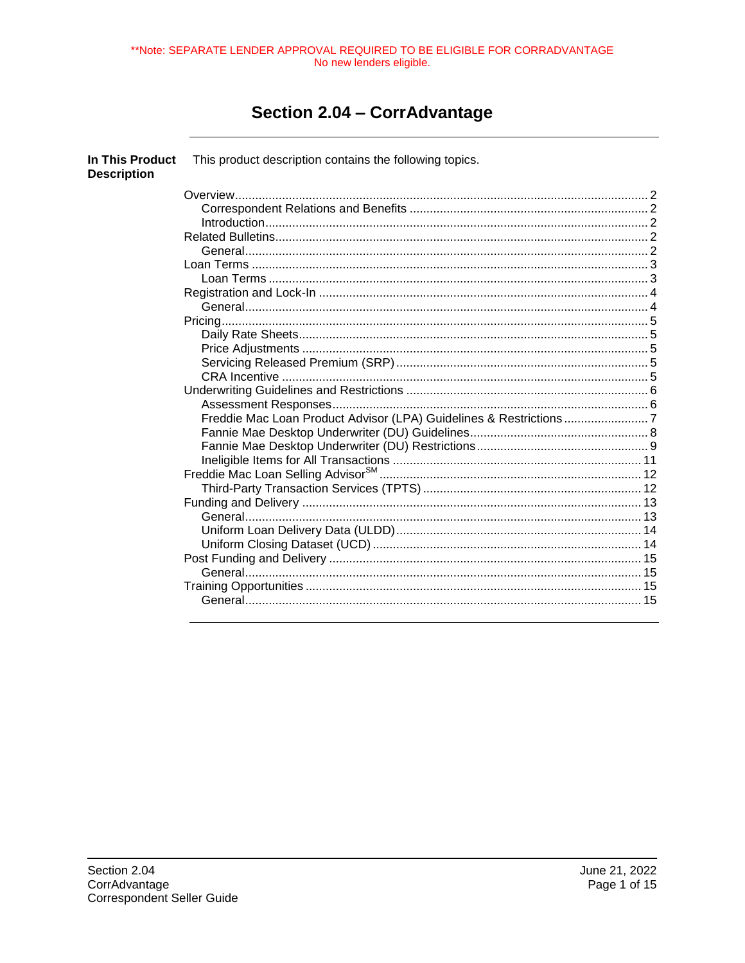\*\*Note: SEPARATE LENDER APPROVAL REQUIRED TO BE ELIGIBLE FOR CORRADVANTAGE No new lenders eligible.

# Section 2.04 - CorrAdvantage

| In This Product<br><b>Description</b> | This product description contains the following topics. |  |
|---------------------------------------|---------------------------------------------------------|--|
|                                       |                                                         |  |
|                                       |                                                         |  |
|                                       |                                                         |  |
|                                       |                                                         |  |
|                                       |                                                         |  |
|                                       |                                                         |  |
|                                       |                                                         |  |
|                                       |                                                         |  |
|                                       |                                                         |  |
|                                       |                                                         |  |
|                                       |                                                         |  |
|                                       |                                                         |  |
|                                       |                                                         |  |
|                                       |                                                         |  |
|                                       |                                                         |  |
|                                       |                                                         |  |
|                                       |                                                         |  |
|                                       |                                                         |  |
|                                       |                                                         |  |
|                                       |                                                         |  |
|                                       |                                                         |  |
|                                       |                                                         |  |
|                                       |                                                         |  |
|                                       |                                                         |  |
|                                       |                                                         |  |
|                                       |                                                         |  |
|                                       |                                                         |  |
|                                       |                                                         |  |
|                                       |                                                         |  |
|                                       |                                                         |  |
|                                       |                                                         |  |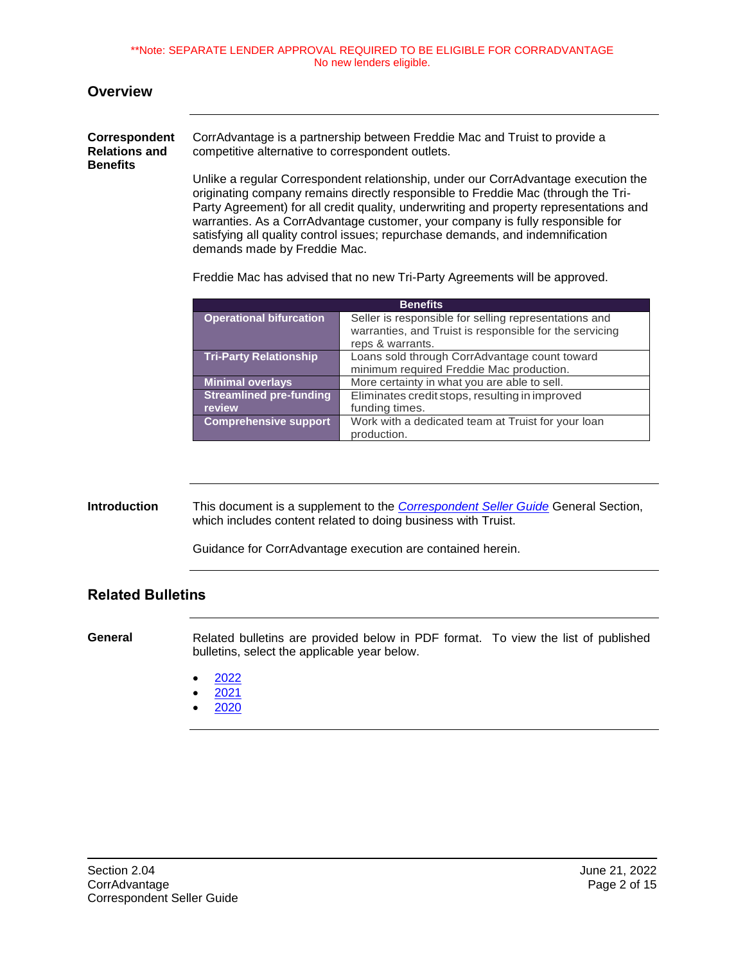\*\*Note: SEPARATE LENDER APPROVAL REQUIRED TO BE ELIGIBLE FOR CORRADVANTAGE No new lenders eligible.

#### <span id="page-1-0"></span>**Overview**

<span id="page-1-1"></span>

| <b>Correspondent</b>                    | CorrAdvantage is a partnership between Freddie Mac and Truist to provide a                                                                                                                                                                                                                                                                          |
|-----------------------------------------|-----------------------------------------------------------------------------------------------------------------------------------------------------------------------------------------------------------------------------------------------------------------------------------------------------------------------------------------------------|
| <b>Relations and</b><br><b>Benefits</b> | competitive alternative to correspondent outlets.                                                                                                                                                                                                                                                                                                   |
|                                         | Unlike a regular Correspondent relationship, under our CorrAdvantage execution the<br>originating company remains directly responsible to Freddie Mac (through the Tri-<br>Party Agreement) for all credit quality, underwriting and property representations and<br>warranties. As a CorrAdvantage customer, your company is fully responsible for |

demands made by Freddie Mac.

Freddie Mac has advised that no new Tri-Party Agreements will be approved.

satisfying all quality control issues; repurchase demands, and indemnification

| <b>Benefits</b>                          |                                                                                                                                      |  |  |
|------------------------------------------|--------------------------------------------------------------------------------------------------------------------------------------|--|--|
| <b>Operational bifurcation</b>           | Seller is responsible for selling representations and<br>warranties, and Truist is responsible for the servicing<br>reps & warrants. |  |  |
| <b>Tri-Party Relationship</b>            | Loans sold through CorrAdvantage count toward<br>minimum required Freddie Mac production.                                            |  |  |
| <b>Minimal overlays</b>                  | More certainty in what you are able to sell.                                                                                         |  |  |
| <b>Streamlined pre-funding</b><br>review | Eliminates credit stops, resulting in improved<br>funding times.                                                                     |  |  |
| <b>Comprehensive support</b>             | Work with a dedicated team at Truist for your loan<br>production.                                                                    |  |  |

#### <span id="page-1-2"></span>**Introduction** This document is a supplement to the *[Correspondent Seller Guide](https://truistsellerguide.com/)* General Section, which includes content related to doing business with Truist.

Guidance for CorrAdvantage execution are contained herein.

#### <span id="page-1-3"></span>**Related Bulletins**

<span id="page-1-4"></span>**General** Related bulletins are provided below in PDF format. To view the list of published bulletins, select the applicable year below.

- [2022](https://truistsellerguide.com/manual/cor/bulletins/Related%20Bulletins/2022/CCorrAdvantage2022.pdf)
- [2021](https://truistsellerguide.com/manual/cor/bulletins/Related%20Bulletins/2021/CCorrAdvantage2021.pdf)
- [2020](https://truistsellerguide.com/manual/cor/bulletins/Related%20Bulletins/2020/CCorrAdvantage2020.pdf)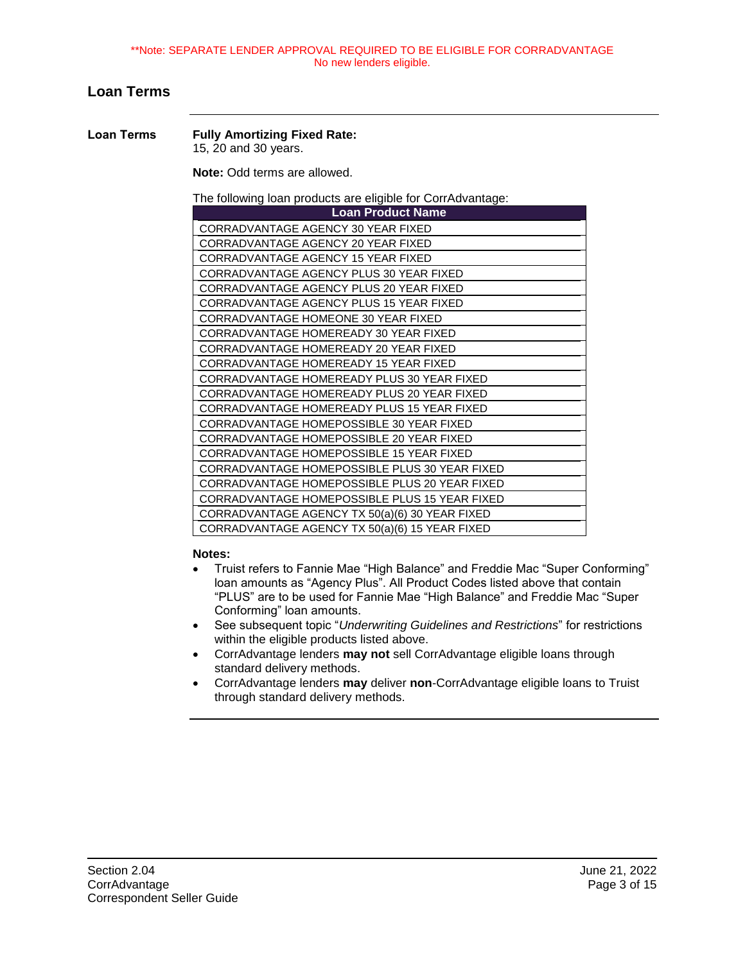#### <span id="page-2-0"></span>**Loan Terms**

<span id="page-2-1"></span>**Loan Terms Fully Amortizing Fixed Rate:** 15, 20 and 30 years.

**Note:** Odd terms are allowed.

The following loan products are eligible for CorrAdvantage:

| <b>Loan Product Name</b>                       |
|------------------------------------------------|
| CORRADVANTAGE AGENCY 30 YEAR FIXED             |
| CORRADVANTAGE AGENCY 20 YEAR FIXED             |
| CORRADVANTAGE AGENCY 15 YEAR FIXED             |
| CORRADVANTAGE AGENCY PLUS 30 YEAR FIXED        |
| CORRADVANTAGE AGENCY PLUS 20 YEAR FIXED        |
| CORRADVANTAGE AGENCY PLUS 15 YEAR FIXED        |
| CORRADVANTAGE HOMEONE 30 YEAR FIXED            |
| CORRADVANTAGE HOMEREADY 30 YEAR FIXED          |
| CORRADVANTAGE HOMEREADY 20 YEAR FIXED          |
| CORRADVANTAGE HOMEREADY 15 YEAR FIXED          |
| CORRADVANTAGE HOMEREADY PLUS 30 YEAR FIXED     |
| CORRADVANTAGE HOMEREADY PLUS 20 YEAR FIXED     |
| CORRADVANTAGE HOMEREADY PLUS 15 YEAR FIXED     |
| CORRADVANTAGE HOMEPOSSIBLE 30 YEAR FIXED       |
| CORRADVANTAGE HOMEPOSSIBLE 20 YEAR FIXED       |
| CORRADVANTAGE HOMEPOSSIBLE 15 YEAR FIXED       |
| CORRADVANTAGE HOMEPOSSIBLE PLUS 30 YEAR FIXED  |
| CORRADVANTAGE HOMEPOSSIBLE PLUS 20 YEAR FIXED  |
| CORRADVANTAGE HOMEPOSSIBLE PLUS 15 YEAR FIXED  |
| CORRADVANTAGE AGENCY TX 50(a)(6) 30 YEAR FIXED |
| CORRADVANTAGE AGENCY TX 50(a)(6) 15 YEAR FIXED |

#### **Notes:**

- Truist refers to Fannie Mae "High Balance" and Freddie Mac "Super Conforming" loan amounts as "Agency Plus". All Product Codes listed above that contain "PLUS" are to be used for Fannie Mae "High Balance" and Freddie Mac "Super Conforming" loan amounts.
- See subsequent topic "*Underwriting Guidelines and Restrictions*" for restrictions within the eligible products listed above.
- CorrAdvantage lenders **may not** sell CorrAdvantage eligible loans through standard delivery methods.
- CorrAdvantage lenders **may** deliver **non**-CorrAdvantage eligible loans to Truist through standard delivery methods.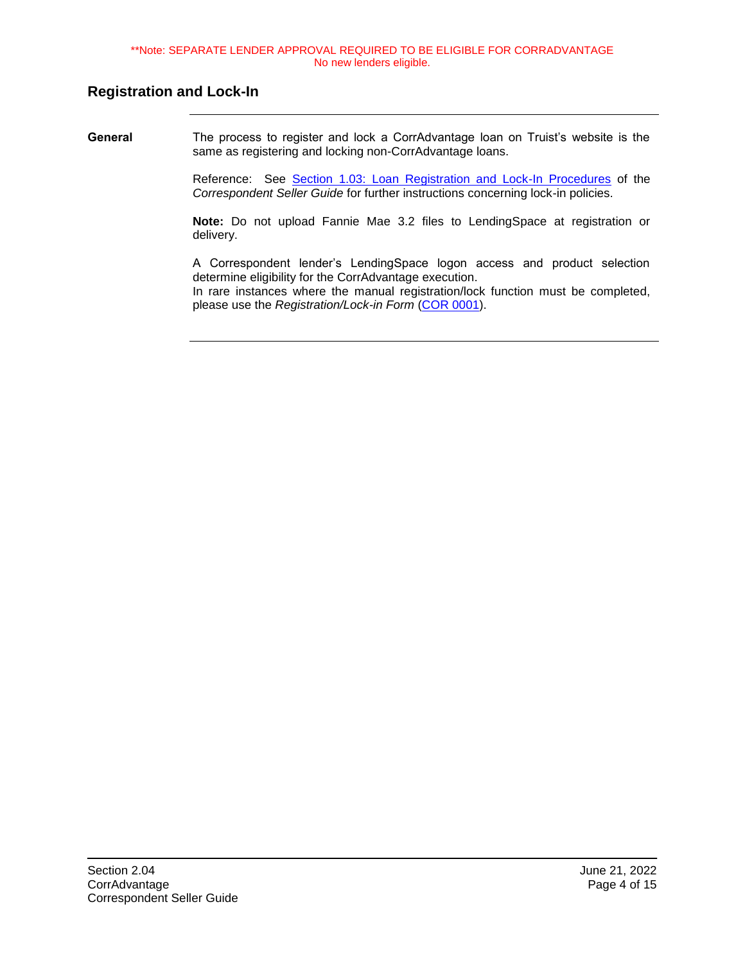#### <span id="page-3-0"></span>**Registration and Lock-In**

<span id="page-3-1"></span>**General** The process to register and lock a CorrAdvantage loan on Truist's website is the same as registering and locking non-CorrAdvantage loans.

> Reference: See [Section 1.03: Loan Registration and Lock-In Procedures](https://truistsellerguide.com/manual/cor/general/1.03LockIn.pdf) of the *Correspondent Seller Guide* for further instructions concerning lock-in policies.

> **Note:** Do not upload Fannie Mae 3.2 files to LendingSpace at registration or delivery.

> A Correspondent lender's LendingSpace logon access and product selection determine eligibility for the CorrAdvantage execution. In rare instances where the manual registration/lock function must be completed, please use the *Registration/Lock-in Form* [\(COR 0001\)](https://truistsellerguide.com/manual/cor/forms/cor0001.pdf).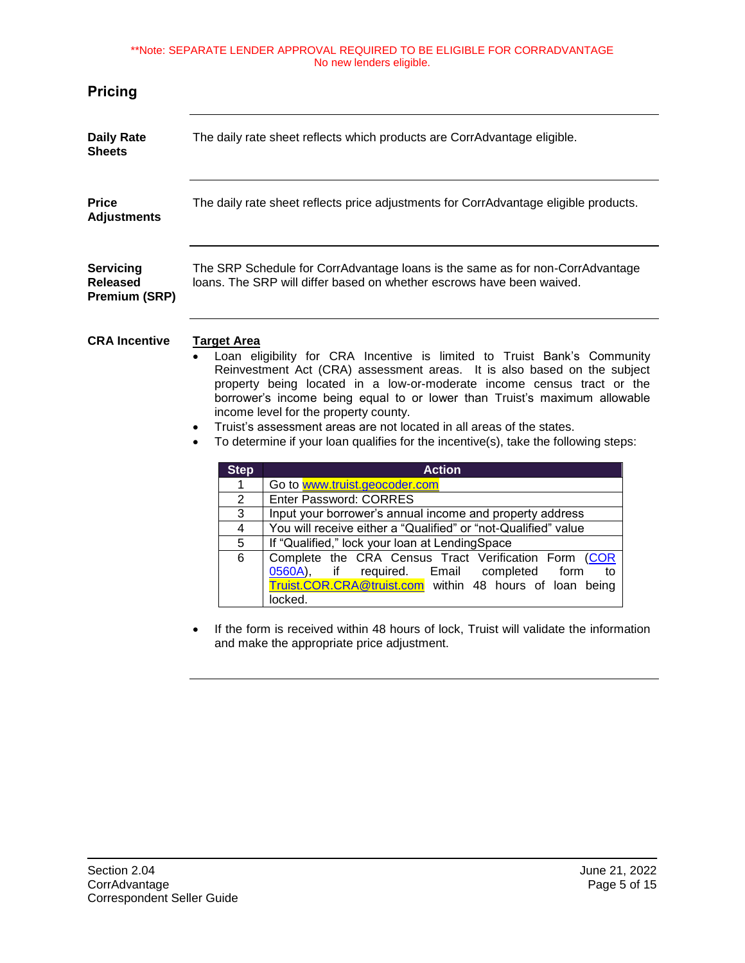#### \*\*Note: SEPARATE LENDER APPROVAL REQUIRED TO BE ELIGIBLE FOR CORRADVANTAGE No new lenders eligible.

<span id="page-4-4"></span><span id="page-4-3"></span><span id="page-4-2"></span><span id="page-4-1"></span><span id="page-4-0"></span>

| <b>Pricing</b>                                       |                                                                                                                                                                                                                                                                                                                                                                                                                                                                                                                                                                                                                                                   |  |  |
|------------------------------------------------------|---------------------------------------------------------------------------------------------------------------------------------------------------------------------------------------------------------------------------------------------------------------------------------------------------------------------------------------------------------------------------------------------------------------------------------------------------------------------------------------------------------------------------------------------------------------------------------------------------------------------------------------------------|--|--|
| <b>Daily Rate</b><br><b>Sheets</b>                   | The daily rate sheet reflects which products are CorrAdvantage eligible.                                                                                                                                                                                                                                                                                                                                                                                                                                                                                                                                                                          |  |  |
| <b>Price</b><br><b>Adjustments</b>                   | The daily rate sheet reflects price adjustments for CorrAdvantage eligible products.                                                                                                                                                                                                                                                                                                                                                                                                                                                                                                                                                              |  |  |
| Servicing<br><b>Released</b><br><b>Premium (SRP)</b> | The SRP Schedule for CorrAdvantage loans is the same as for non-CorrAdvantage<br>loans. The SRP will differ based on whether escrows have been waived.                                                                                                                                                                                                                                                                                                                                                                                                                                                                                            |  |  |
| <b>CRA Incentive</b>                                 | <b>Target Area</b><br>Loan eligibility for CRA Incentive is limited to Truist Bank's Community<br>Reinvestment Act (CRA) assessment areas. It is also based on the subject<br>property being located in a low-or-moderate income census tract or the<br>borrower's income being equal to or lower than Truist's maximum allowable<br>income level for the property county.<br>Truist's assessment areas are not located in all areas of the states.<br>$\bullet$<br>To determine if your loan qualifies for the incentive(s), take the following steps:<br>$\bullet$                                                                              |  |  |
|                                                      | <b>Action</b><br><b>Step</b><br>Go to www.truist.geocoder.com<br>1<br>Enter Password: CORRES<br>$\overline{2}$<br>3<br>Input your borrower's annual income and property address<br>You will receive either a "Qualified" or "not-Qualified" value<br>$\overline{\mathbf{4}}$<br>$\overline{5}$<br>If "Qualified," lock your loan at LendingSpace<br>$\overline{6}$<br>Complete the CRA Census Tract Verification Form (COR<br>0560A),<br>required.<br>Email<br>completed<br>form<br>if<br>to<br>Truist.COR.CRA@truist.com within 48 hours of loan being<br>locked.<br>a dama ta saastaa kaskuta 40 kaana ad kaku Turtataa Musiki sistema ta shaka |  |  |

• If the form is received within 48 hours of lock, Truist will validate the information and make the appropriate price adjustment.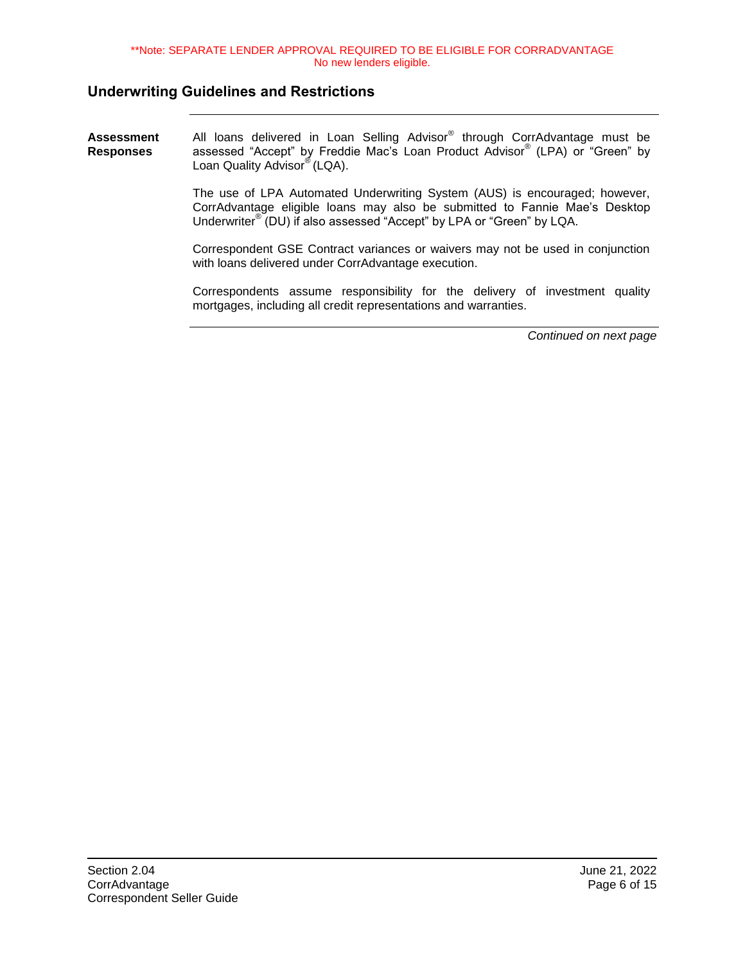# <span id="page-5-0"></span>**Underwriting Guidelines and Restrictions**

<span id="page-5-1"></span>

| Assessment<br>Responses | All loans delivered in Loan Selling Advisor® through CorrAdvantage must be<br>assessed "Accept" by Freddie Mac's Loan Product Advisor® (LPA) or "Green" by<br>Loan Quality Advisor® (LQA).                                                    |
|-------------------------|-----------------------------------------------------------------------------------------------------------------------------------------------------------------------------------------------------------------------------------------------|
|                         | The use of LPA Automated Underwriting System (AUS) is encouraged; however,<br>CorrAdvantage eligible loans may also be submitted to Fannie Mae's Desktop<br>Underwriter <sup>®</sup> (DU) if also assessed "Accept" by LPA or "Green" by LQA. |
|                         | Correspondent GSE Contract variances or waivers may not be used in conjunction<br>with loans delivered under CorrAdvantage execution.                                                                                                         |
|                         | Correspondents assume responsibility for the delivery of investment quality<br>mortgages, including all credit representations and warranties.                                                                                                |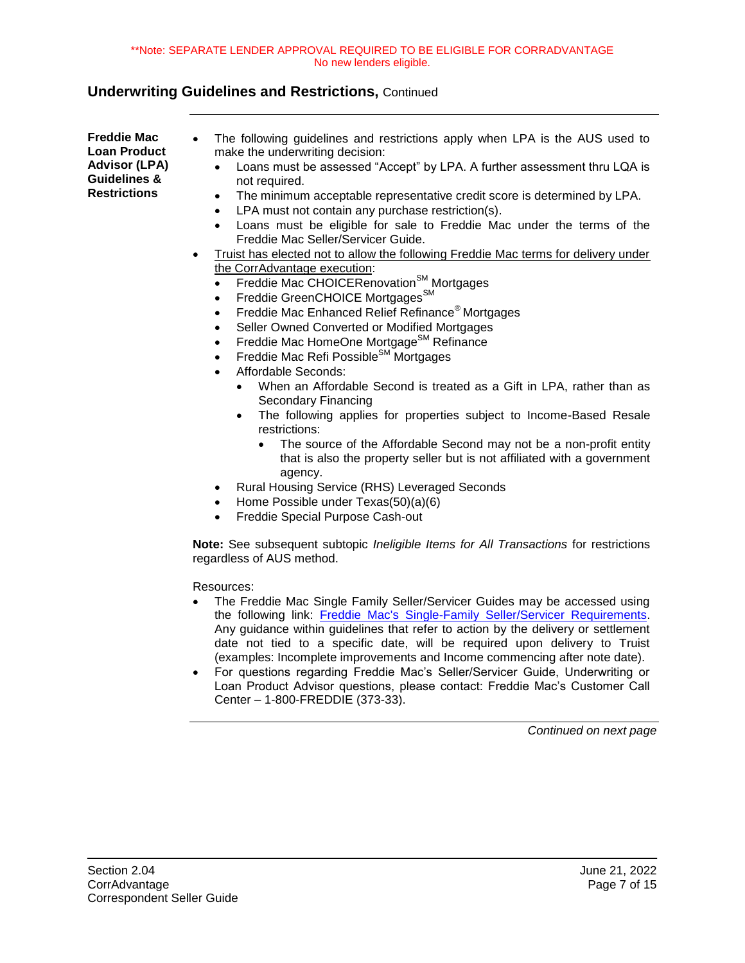<span id="page-6-0"></span>**Freddie Mac Loan Product Advisor (LPA) Guidelines & Restrictions**

- The following guidelines and restrictions apply when LPA is the AUS used to make the underwriting decision:
	- Loans must be assessed "Accept" by LPA. A further assessment thru LQA is not required.
	- The minimum acceptable representative credit score is determined by LPA.
	- LPA must not contain any purchase restriction(s).
	- Loans must be eligible for sale to Freddie Mac under the terms of the Freddie Mac Seller/Servicer Guide.
- Truist has elected not to allow the following Freddie Mac terms for delivery under the CorrAdvantage execution:
	- Freddie Mac CHOICERenovation<sup>SM</sup> Mortgages
	- Freddie GreenCHOICE Mortgages<sup>SM</sup>
	- Freddie Mac Enhanced Relief Refinance® Mortgages
	- Seller Owned Converted or Modified Mortgages
	- Freddie Mac HomeOne Mortgage<sup>SM</sup> Refinance
	- Freddie Mac Refi Possible<sup>SM</sup> Mortgages
	- Affordable Seconds:
		- When an Affordable Second is treated as a Gift in LPA, rather than as Secondary Financing
		- The following applies for properties subject to Income-Based Resale restrictions:
			- The source of the Affordable Second may not be a non-profit entity that is also the property seller but is not affiliated with a government agency.
	- Rural Housing Service (RHS) Leveraged Seconds
	- Home Possible under Texas(50)(a)(6)
	- Freddie Special Purpose Cash-out

**Note:** See subsequent subtopic *Ineligible Items for All Transactions* for restrictions regardless of AUS method.

Resources:

- The Freddie Mac Single Family Seller/Servicer Guides may be accessed using the following link: [Freddie Mac's Single-Family Seller/Servicer Requirements.](https://sf.freddiemac.com/tools-learning/sellerservicer-guide/overview) Any guidance within guidelines that refer to action by the delivery or settlement date not tied to a specific date, will be required upon delivery to Truist (examples: Incomplete improvements and Income commencing after note date).
- For questions regarding Freddie Mac's Seller/Servicer Guide, Underwriting or Loan Product Advisor questions, please contact: Freddie Mac's Customer Call Center – 1-800-FREDDIE (373-33).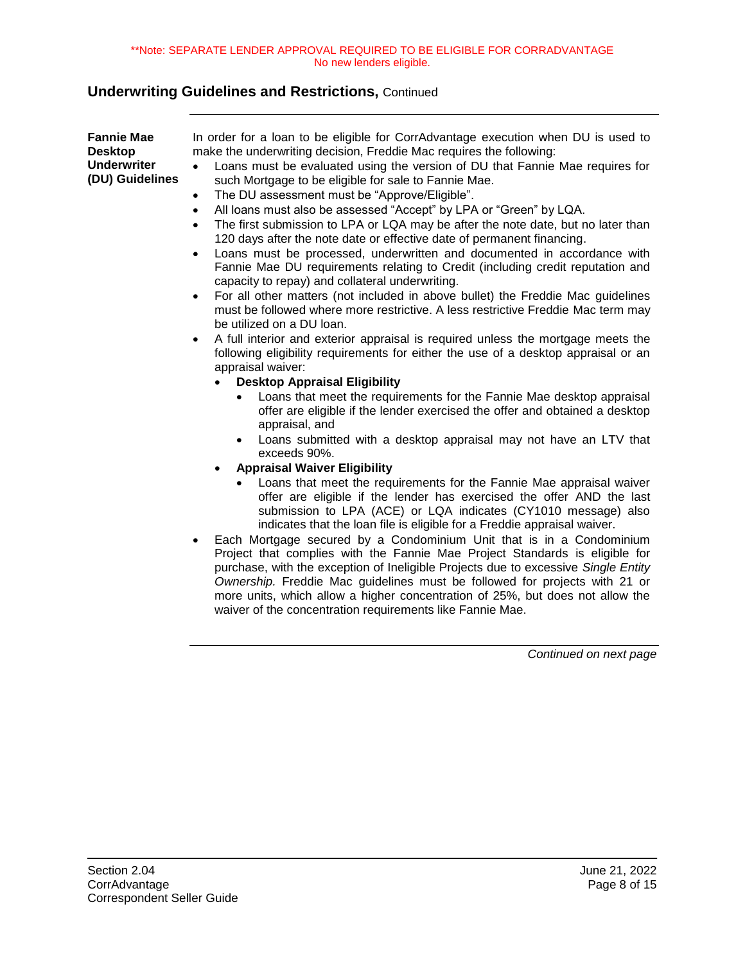<span id="page-7-0"></span>**Fannie Mae Desktop Underwriter (DU) Guidelines** In order for a loan to be eligible for CorrAdvantage execution when DU is used to make the underwriting decision, Freddie Mac requires the following: Loans must be evaluated using the version of DU that Fannie Mae requires for such Mortgage to be eligible for sale to Fannie Mae. The DU assessment must be "Approve/Eligible". All loans must also be assessed "Accept" by LPA or "Green" by LQA. The first submission to LPA or LQA may be after the note date, but no later than 120 days after the note date or effective date of permanent financing. Loans must be processed, underwritten and documented in accordance with Fannie Mae DU requirements relating to Credit (including credit reputation and

- capacity to repay) and collateral underwriting. For all other matters (not included in above bullet) the Freddie Mac guidelines must be followed where more restrictive. A less restrictive Freddie Mac term may be utilized on a DU loan.
- A full interior and exterior appraisal is required unless the mortgage meets the following eligibility requirements for either the use of a desktop appraisal or an appraisal waiver:
	- **Desktop Appraisal Eligibility**
		- Loans that meet the requirements for the Fannie Mae desktop appraisal offer are eligible if the lender exercised the offer and obtained a desktop appraisal, and
		- Loans submitted with a desktop appraisal may not have an LTV that exceeds 90%.
	- **Appraisal Waiver Eligibility**
		- Loans that meet the requirements for the Fannie Mae appraisal waiver offer are eligible if the lender has exercised the offer AND the last submission to LPA (ACE) or LQA indicates (CY1010 message) also indicates that the loan file is eligible for a Freddie appraisal waiver.
- Each Mortgage secured by a Condominium Unit that is in a Condominium Project that complies with the Fannie Mae Project Standards is eligible for purchase, with the exception of Ineligible Projects due to excessive *Single Entity Ownership.* Freddie Mac guidelines must be followed for projects with 21 or more units, which allow a higher concentration of 25%, but does not allow the waiver of the concentration requirements like Fannie Mae.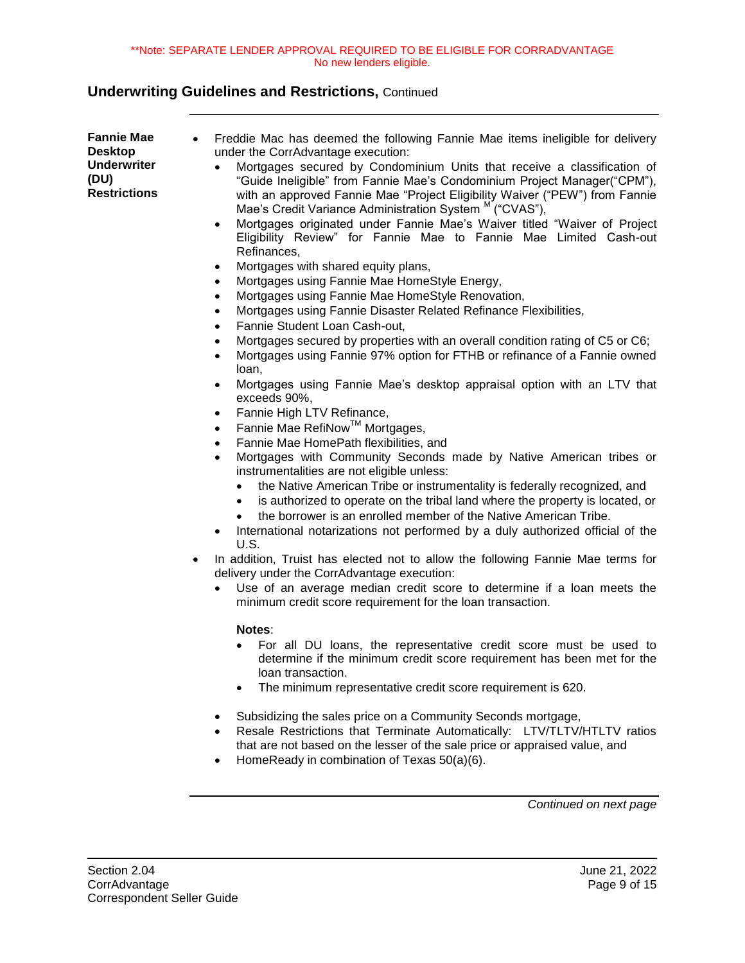<span id="page-8-0"></span>

| <b>Fannie Mae</b><br>$\bullet$<br><b>Desktop</b><br><b>Underwriter</b><br>(DU)<br><b>Restrictions</b><br>٠ | Freddie Mac has deemed the following Fannie Mae items ineligible for delivery<br>under the CorrAdvantage execution:<br>Mortgages secured by Condominium Units that receive a classification of<br>"Guide Ineligible" from Fannie Mae's Condominium Project Manager("CPM"),<br>with an approved Fannie Mae "Project Eligibility Waiver ("PEW") from Fannie<br>Mae's Credit Variance Administration System <sup>M</sup> ("CVAS"),<br>Mortgages originated under Fannie Mae's Waiver titled "Waiver of Project<br>٠<br>Eligibility Review" for Fannie Mae to Fannie Mae Limited Cash-out<br>Refinances,<br>Mortgages with shared equity plans,<br>٠<br>Mortgages using Fannie Mae HomeStyle Energy,<br>٠<br>Mortgages using Fannie Mae HomeStyle Renovation,<br>٠<br>Mortgages using Fannie Disaster Related Refinance Flexibilities,<br>$\bullet$<br>Fannie Student Loan Cash-out,<br>$\bullet$<br>Mortgages secured by properties with an overall condition rating of C5 or C6;<br>٠<br>Mortgages using Fannie 97% option for FTHB or refinance of a Fannie owned<br>$\bullet$<br>loan,<br>Mortgages using Fannie Mae's desktop appraisal option with an LTV that<br>$\bullet$<br>exceeds 90%,<br>Fannie High LTV Refinance,<br>٠<br>Fannie Mae RefiNow™ Mortgages,<br>٠<br>Fannie Mae HomePath flexibilities, and<br>$\bullet$<br>Mortgages with Community Seconds made by Native American tribes or<br>instrumentalities are not eligible unless:<br>the Native American Tribe or instrumentality is federally recognized, and<br>٠<br>is authorized to operate on the tribal land where the property is located, or<br>$\bullet$<br>the borrower is an enrolled member of the Native American Tribe.<br>International notarizations not performed by a duly authorized official of the<br>U.S.<br>In addition, Truist has elected not to allow the following Fannie Mae terms for<br>delivery under the CorrAdvantage execution:<br>Use of an average median credit score to determine if a loan meets the<br>minimum credit score requirement for the loan transaction.<br>Notes:<br>For all DU loans, the representative credit score must be used to<br>determine if the minimum credit score requirement has been met for the<br>loan transaction.<br>The minimum representative credit score requirement is 620.<br>Subsidizing the sales price on a Community Seconds mortgage,<br>Resale Restrictions that Terminate Automatically: LTV/TLTV/HTLTV ratios<br>that are not based on the lesser of the sale price or appraised value, and<br>HomeReady in combination of Texas 50(a)(6). |
|------------------------------------------------------------------------------------------------------------|-------------------------------------------------------------------------------------------------------------------------------------------------------------------------------------------------------------------------------------------------------------------------------------------------------------------------------------------------------------------------------------------------------------------------------------------------------------------------------------------------------------------------------------------------------------------------------------------------------------------------------------------------------------------------------------------------------------------------------------------------------------------------------------------------------------------------------------------------------------------------------------------------------------------------------------------------------------------------------------------------------------------------------------------------------------------------------------------------------------------------------------------------------------------------------------------------------------------------------------------------------------------------------------------------------------------------------------------------------------------------------------------------------------------------------------------------------------------------------------------------------------------------------------------------------------------------------------------------------------------------------------------------------------------------------------------------------------------------------------------------------------------------------------------------------------------------------------------------------------------------------------------------------------------------------------------------------------------------------------------------------------------------------------------------------------------------------------------------------------------------------------------------------------------------------------------------------------------------------------------------------------------------------------------------------------------------------------------------------------------------------------------------------------------------------------------------------------------------------------------------------------------------------------------------------------------------------------------------|
|                                                                                                            | Continued on next page                                                                                                                                                                                                                                                                                                                                                                                                                                                                                                                                                                                                                                                                                                                                                                                                                                                                                                                                                                                                                                                                                                                                                                                                                                                                                                                                                                                                                                                                                                                                                                                                                                                                                                                                                                                                                                                                                                                                                                                                                                                                                                                                                                                                                                                                                                                                                                                                                                                                                                                                                                          |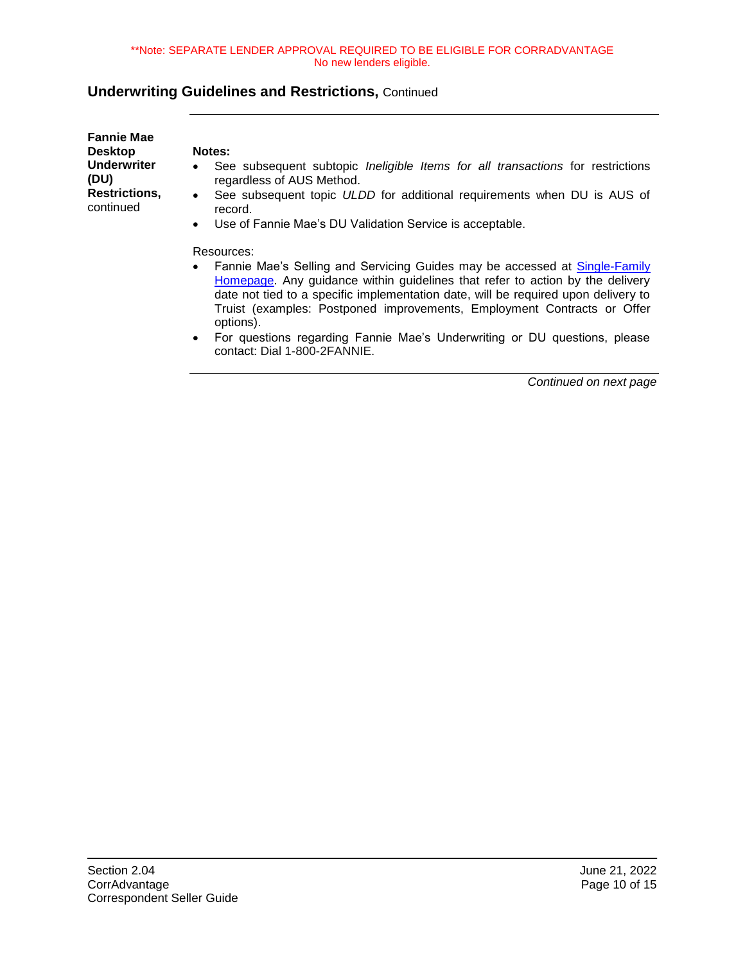| <b>Fannie Mae</b><br>Desktop      | <b>Notes:</b>                                                                                                                                                            |
|-----------------------------------|--------------------------------------------------------------------------------------------------------------------------------------------------------------------------|
| Underwriter<br>(DU)               | See subsequent subtopic <i>Ineligible Items for all transactions</i> for restrictions<br>$\bullet$<br>regardless of AUS Method.                                          |
| <b>Restrictions,</b><br>continued | See subsequent topic ULDD for additional requirements when DU is AUS of<br>$\bullet$<br>record.                                                                          |
|                                   | Use of Fannie Mae's DU Validation Service is acceptable.<br>$\bullet$                                                                                                    |
|                                   | Resources:                                                                                                                                                               |
|                                   | Fannie Mae's Selling and Servicing Guides may be accessed at Single-Family<br>$\bullet$<br>Homepage. Any quidance within quidelines that refer to action by the delivery |

- [Homepage.](https://singlefamily.fanniemae.com/) Any guidance within guidelines that refer to action by the delivery date not tied to a specific implementation date, will be required upon delivery to Truist (examples: Postponed improvements, Employment Contracts or Offer options).
- For questions regarding Fannie Mae's Underwriting or DU questions, please contact: Dial 1-800-2FANNIE.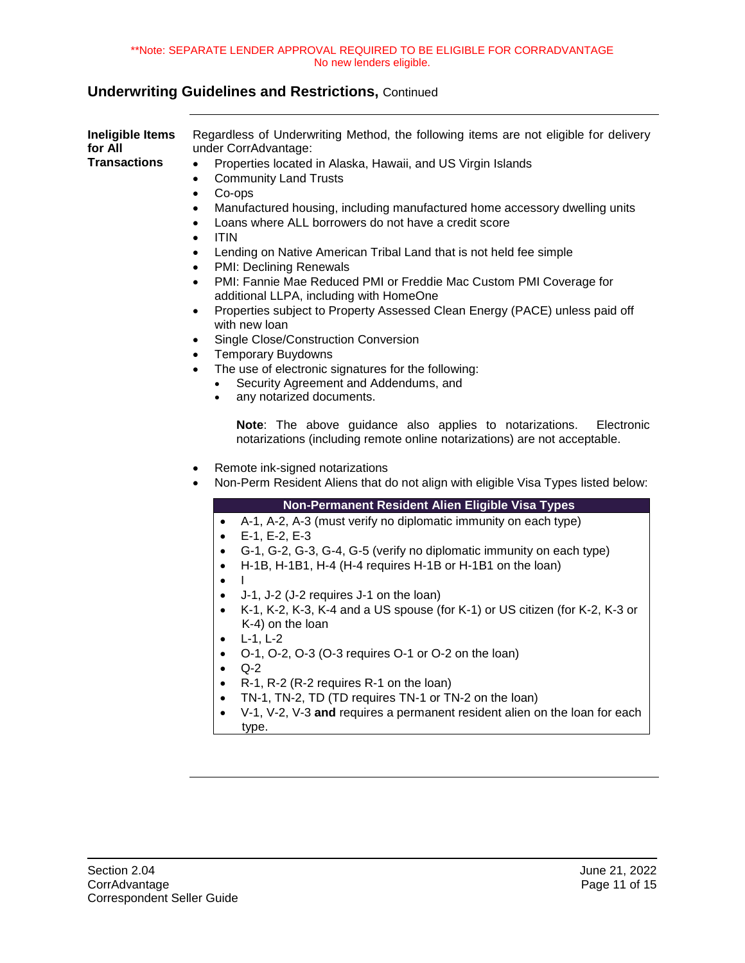<span id="page-10-0"></span>

| <b>Ineligible Items</b><br>for All<br><b>Transactions</b> | Regardless of Underwriting Method, the following items are not eligible for delivery<br>under CorrAdvantage:<br>Properties located in Alaska, Hawaii, and US Virgin Islands<br>$\bullet$<br><b>Community Land Trusts</b><br>$\bullet$<br>Co-ops<br>$\bullet$<br>Manufactured housing, including manufactured home accessory dwelling units<br>$\bullet$<br>Loans where ALL borrowers do not have a credit score<br>$\bullet$<br><b>ITIN</b><br>$\bullet$<br>Lending on Native American Tribal Land that is not held fee simple<br>$\bullet$<br><b>PMI: Declining Renewals</b><br>$\bullet$<br>PMI: Fannie Mae Reduced PMI or Freddie Mac Custom PMI Coverage for<br>$\bullet$<br>additional LLPA, including with HomeOne<br>Properties subject to Property Assessed Clean Energy (PACE) unless paid off<br>$\bullet$<br>with new loan<br>Single Close/Construction Conversion<br>$\bullet$<br><b>Temporary Buydowns</b><br>$\bullet$<br>The use of electronic signatures for the following:<br>$\bullet$<br>Security Agreement and Addendums, and<br>any notarized documents.<br>$\bullet$<br>Note: The above guidance also applies to notarizations.<br>Electronic<br>notarizations (including remote online notarizations) are not acceptable. |
|-----------------------------------------------------------|--------------------------------------------------------------------------------------------------------------------------------------------------------------------------------------------------------------------------------------------------------------------------------------------------------------------------------------------------------------------------------------------------------------------------------------------------------------------------------------------------------------------------------------------------------------------------------------------------------------------------------------------------------------------------------------------------------------------------------------------------------------------------------------------------------------------------------------------------------------------------------------------------------------------------------------------------------------------------------------------------------------------------------------------------------------------------------------------------------------------------------------------------------------------------------------------------------------------------------------------------|
|                                                           | Remote ink-signed notarizations<br>$\bullet$<br>Non-Perm Resident Aliens that do not align with eligible Visa Types listed below:<br>$\bullet$<br>Non-Permanent Resident Alien Eligible Visa Types<br>A-1, A-2, A-3 (must verify no diplomatic immunity on each type)<br>$\bullet$<br>E-1, E-2, E-3<br>$\bullet$<br>G-1, G-2, G-3, G-4, G-5 (verify no diplomatic immunity on each type)<br>$\bullet$<br>H-1B, H-1B1, H-4 (H-4 requires H-1B or H-1B1 on the loan)<br>$\bullet$<br>$\mathbf{L}$<br>$\bullet$<br>J-1, J-2 (J-2 requires J-1 on the loan)<br>$\bullet$<br>K-1, K-2, K-3, K-4 and a US spouse (for K-1) or US citizen (for K-2, K-3 or<br>$\bullet$<br>K-4) on the loan<br>$L-1, L-2$<br>$\bullet$<br>O-1, O-2, O-3 (O-3 requires O-1 or O-2 on the loan)<br>$\bullet$<br>$Q-2$<br>$\bullet$<br>R-1, R-2 (R-2 requires R-1 on the loan)<br>$\bullet$<br>TN-1, TN-2, TD (TD requires TN-1 or TN-2 on the loan)<br>$\bullet$<br>V-1, V-2, V-3 and requires a permanent resident alien on the loan for each<br>$\bullet$<br>type.                                                                                                                                                                                                      |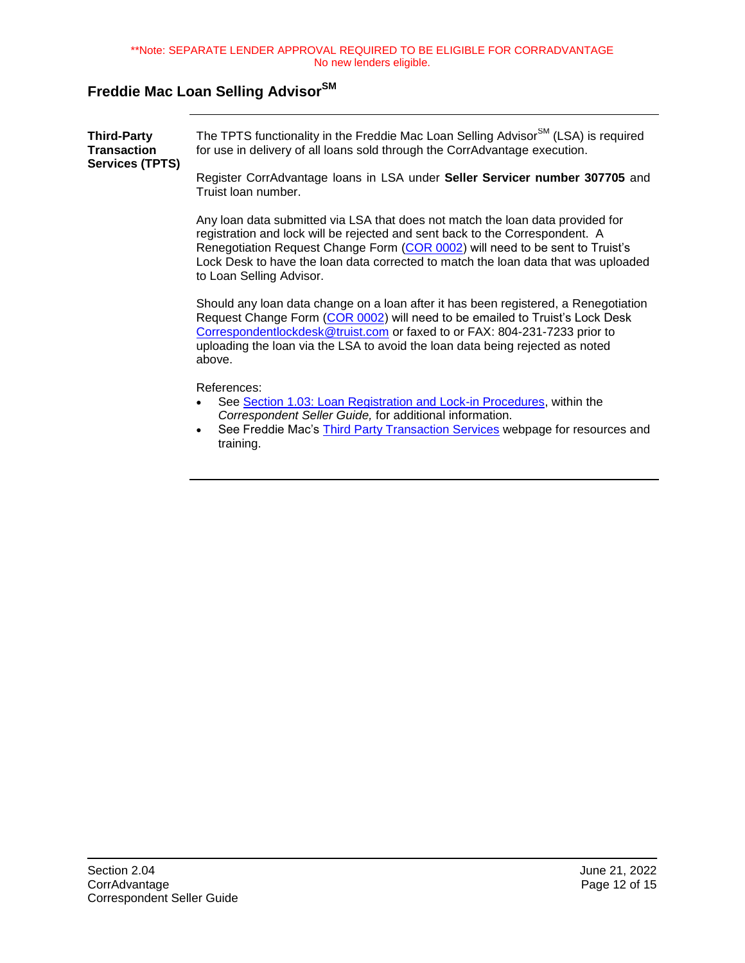# <span id="page-11-0"></span>**Freddie Mac Loan Selling AdvisorSM**

<span id="page-11-1"></span>

| <b>Third-Party</b><br><b>Transaction</b><br><b>Services (TPTS)</b> | The TPTS functionality in the Freddie Mac Loan Selling Advisor <sup>SM</sup> (LSA) is required<br>for use in delivery of all loans sold through the CorrAdvantage execution.                                                                                                                                                                                      |  |
|--------------------------------------------------------------------|-------------------------------------------------------------------------------------------------------------------------------------------------------------------------------------------------------------------------------------------------------------------------------------------------------------------------------------------------------------------|--|
|                                                                    | Register CorrAdvantage loans in LSA under Seller Servicer number 307705 and<br>Truist Ioan number.                                                                                                                                                                                                                                                                |  |
|                                                                    | Any loan data submitted via LSA that does not match the loan data provided for<br>registration and lock will be rejected and sent back to the Correspondent. A<br>Renegotiation Request Change Form (COR 0002) will need to be sent to Truist's<br>Lock Desk to have the loan data corrected to match the loan data that was uploaded<br>to Loan Selling Advisor. |  |
|                                                                    | Should any loan data change on a loan after it has been registered, a Renegotiation<br>Request Change Form (COR 0002) will need to be emailed to Truist's Lock Desk<br>Correspondentlockdesk@truist.com or faxed to or FAX: 804-231-7233 prior to<br>uploading the loan via the LSA to avoid the loan data being rejected as noted<br>above.                      |  |
|                                                                    | References:<br>See Section 1.03: Loan Registration and Lock-in Procedures, within the<br>Correspondent Seller Guide, for additional information.<br>See Freddie Mac's <b>Third Party Transaction Services</b> webpage for resources and<br>$\bullet$<br>training.                                                                                                 |  |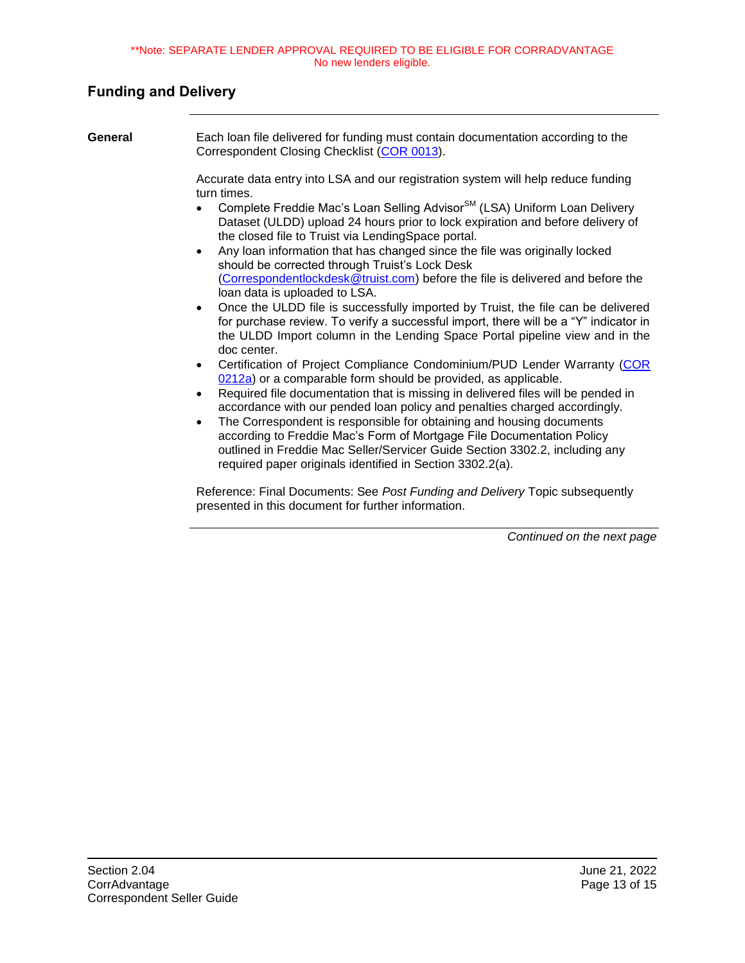### <span id="page-12-0"></span>**Funding and Delivery**

<span id="page-12-1"></span>

| General | Each loan file delivered for funding must contain documentation according to the<br>Correspondent Closing Checklist (COR 0013).                                                                                                                                                                                                                                                                                                                                                                                                                                                                                                                                                                                                                                                                                                                                                                                                                                                                                                                                                                                                                                                                                                                                                                                                                                                                                                                                                                                                |
|---------|--------------------------------------------------------------------------------------------------------------------------------------------------------------------------------------------------------------------------------------------------------------------------------------------------------------------------------------------------------------------------------------------------------------------------------------------------------------------------------------------------------------------------------------------------------------------------------------------------------------------------------------------------------------------------------------------------------------------------------------------------------------------------------------------------------------------------------------------------------------------------------------------------------------------------------------------------------------------------------------------------------------------------------------------------------------------------------------------------------------------------------------------------------------------------------------------------------------------------------------------------------------------------------------------------------------------------------------------------------------------------------------------------------------------------------------------------------------------------------------------------------------------------------|
|         | Accurate data entry into LSA and our registration system will help reduce funding<br>turn times.<br>Complete Freddie Mac's Loan Selling Advisor <sup>SM</sup> (LSA) Uniform Loan Delivery<br>Dataset (ULDD) upload 24 hours prior to lock expiration and before delivery of<br>the closed file to Truist via LendingSpace portal.<br>Any loan information that has changed since the file was originally locked<br>$\bullet$<br>should be corrected through Truist's Lock Desk<br>(Correspondentlockdesk@truist.com) before the file is delivered and before the<br>loan data is uploaded to LSA.<br>Once the ULDD file is successfully imported by Truist, the file can be delivered<br>$\bullet$<br>for purchase review. To verify a successful import, there will be a "Y" indicator in<br>the ULDD Import column in the Lending Space Portal pipeline view and in the<br>doc center.<br>Certification of Project Compliance Condominium/PUD Lender Warranty (COR<br>0212a) or a comparable form should be provided, as applicable.<br>Required file documentation that is missing in delivered files will be pended in<br>$\bullet$<br>accordance with our pended loan policy and penalties charged accordingly.<br>The Correspondent is responsible for obtaining and housing documents<br>$\bullet$<br>according to Freddie Mac's Form of Mortgage File Documentation Policy<br>outlined in Freddie Mac Seller/Servicer Guide Section 3302.2, including any<br>required paper originals identified in Section 3302.2(a). |
|         | Reference: Final Documents: See Post Funding and Delivery Topic subsequently                                                                                                                                                                                                                                                                                                                                                                                                                                                                                                                                                                                                                                                                                                                                                                                                                                                                                                                                                                                                                                                                                                                                                                                                                                                                                                                                                                                                                                                   |

presented in this document for further information.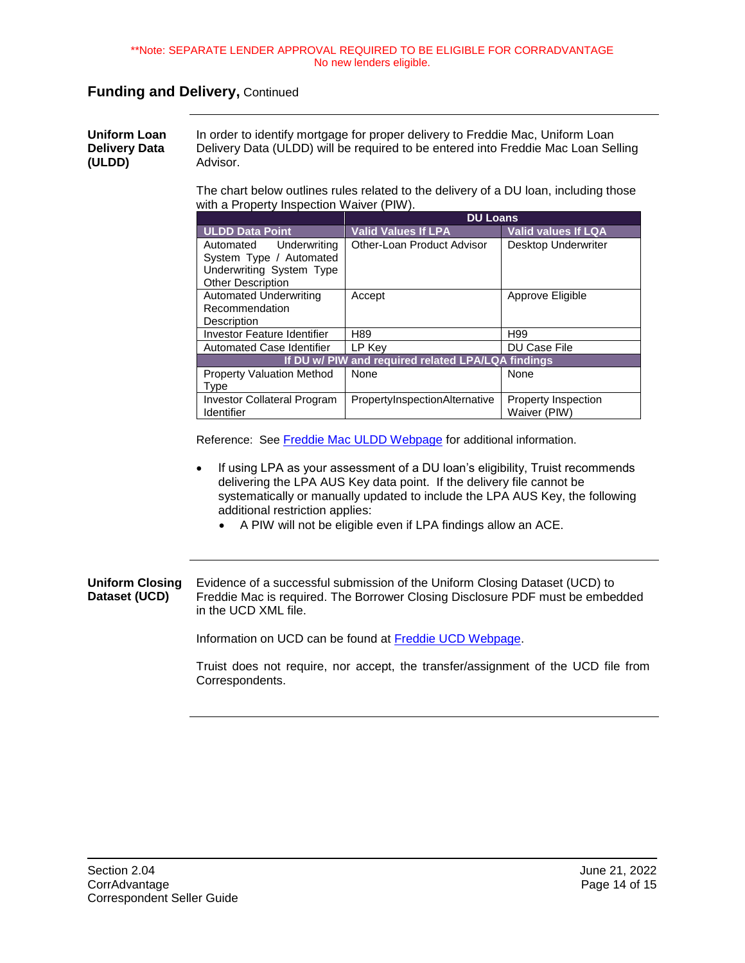#### **Funding and Delivery,** Continued

<span id="page-13-0"></span>**Uniform Loan Delivery Data (ULDD)** In order to identify mortgage for proper delivery to Freddie Mac, Uniform Loan Delivery Data (ULDD) will be required to be entered into Freddie Mac Loan Selling Advisor.

> The chart below outlines rules related to the delivery of a DU loan, including those with a Property Inspection Waiver (PIW).

|                                                                                                           | <b>DU Loans</b>               |                                            |  |
|-----------------------------------------------------------------------------------------------------------|-------------------------------|--------------------------------------------|--|
| <b>ULDD Data Point</b>                                                                                    | <b>Valid Values If LPA</b>    | <b>Valid values If LQA</b>                 |  |
| Automated Underwriting<br>System Type / Automated<br>Underwriting System Type<br><b>Other Description</b> | Other-Loan Product Advisor    | Desktop Underwriter                        |  |
| <b>Automated Underwriting</b><br>Recommendation<br>Description                                            | Accept                        | Approve Eligible                           |  |
| Investor Feature Identifier                                                                               | H <sub>89</sub>               | H <sub>99</sub>                            |  |
| Automated Case Identifier                                                                                 | LP Key                        | <b>DU Case File</b>                        |  |
| If DU w/ PIW and required related LPA/LQA findings                                                        |                               |                                            |  |
| <b>Property Valuation Method</b><br><b>Type</b>                                                           | None                          | None                                       |  |
| <b>Investor Collateral Program</b><br><b>Identifier</b>                                                   | PropertyInspectionAlternative | <b>Property Inspection</b><br>Waiver (PIW) |  |

Reference: See [Freddie Mac ULDD Webpage](https://sf.freddiemac.com/tools-learning/uniform-mortgage-data-program/uldd) for additional information.

- If using LPA as your assessment of a DU loan's eligibility, Truist recommends delivering the LPA AUS Key data point. If the delivery file cannot be systematically or manually updated to include the LPA AUS Key, the following additional restriction applies:
	- A PIW will not be eligible even if LPA findings allow an ACE.

#### <span id="page-13-1"></span>**Uniform Closing Dataset (UCD)** Evidence of a successful submission of the Uniform Closing Dataset (UCD) to Freddie Mac is required. The Borrower Closing Disclosure PDF must be embedded in the UCD XML file.

Information on UCD can be found at [Freddie UCD Webpage.](https://sf.freddiemac.com/tools-learning/uniform-mortgage-data-program/ucd)

Truist does not require, nor accept, the transfer/assignment of the UCD file from Correspondents.